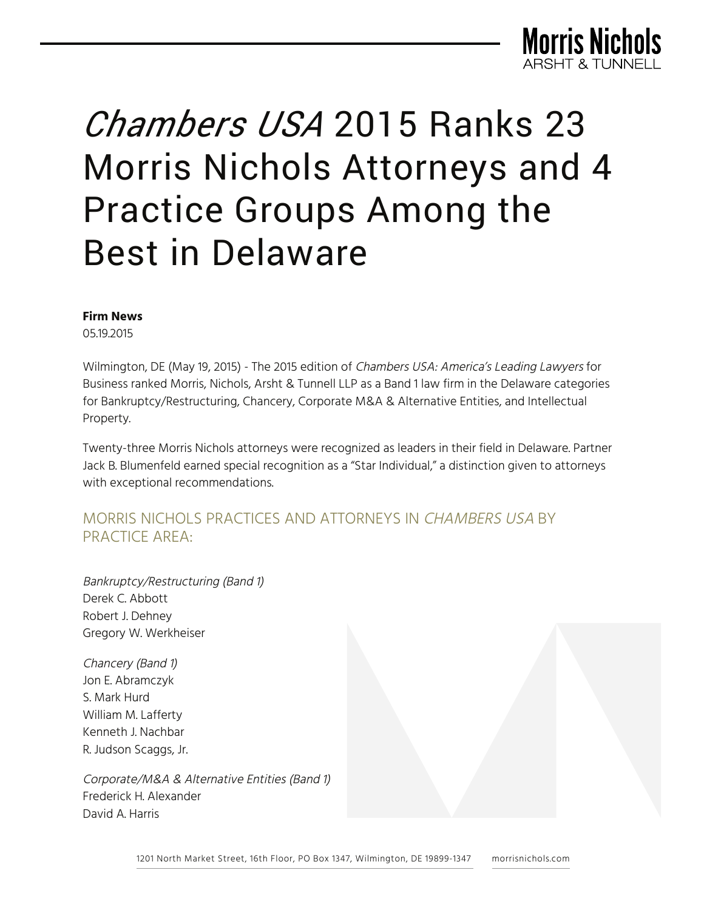

# *Chambers USA* 2015 Ranks 23 Morris Nichols Attorneys and 4 Practice Groups Among the Best in Delaware

#### **Firm News**

05.19.2015

Wilmington, DE (May 19, 2015) - The 2015 edition of Chambers USA: America's Leading Lawyers for Business ranked Morris, Nichols, Arsht & Tunnell LLP as a Band 1 law firm in the Delaware categories for Bankruptcy/Restructuring, Chancery, Corporate M&A & Alternative Entities, and Intellectual Property.

Twenty-three Morris Nichols attorneys were recognized as leaders in their field in Delaware. Partner Jack B. Blumenfeld earned special recognition as a "Star Individual," a distinction given to attorneys with exceptional recommendations.

## MORRIS NICHOLS PRACTICES AND ATTORNEYS IN CHAMBERS USA BY PRACTICE AREA:

Bankruptcy/Restructuring (Band 1) Derek C. Abbott Robert J. Dehney Gregory W. Werkheiser

Chancery (Band 1) Jon E. Abramczyk S. Mark Hurd William M. Lafferty Kenneth J. Nachbar R. Judson Scaggs, Jr.

Corporate/M&A & Alternative Entities (Band 1) Frederick H. Alexander David A. Harris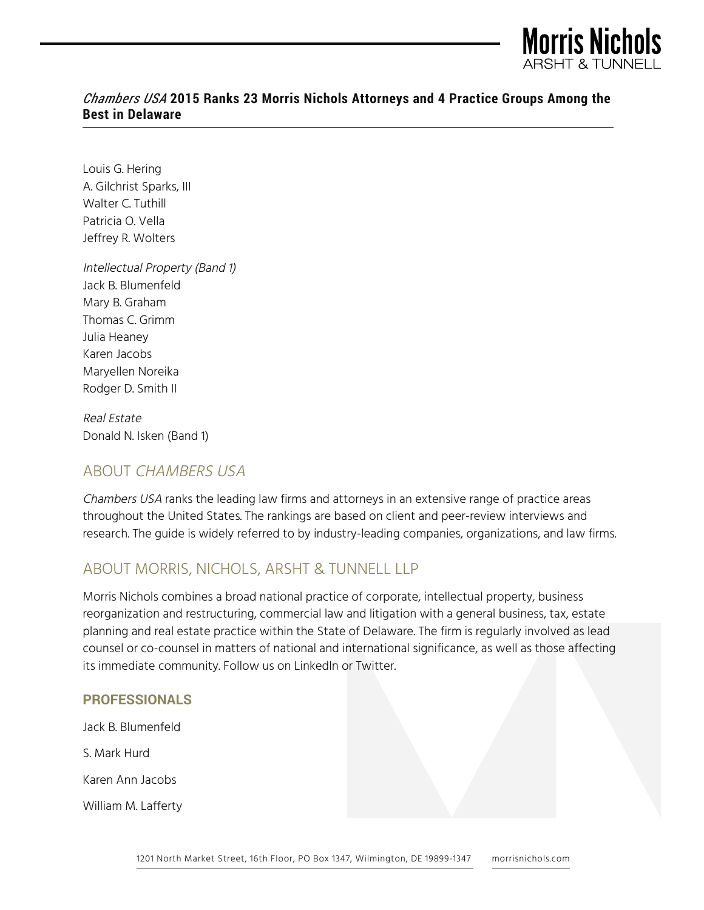

## *Chambers USA* **2015 Ranks 23 Morris Nichols Attorneys and 4 Practice Groups Among the Best in Delaware**

Louis G. Hering A. Gilchrist Sparks, III Walter C. Tuthill Patricia O. Vella Jeffrey R. Wolters

Intellectual Property (Band 1) Jack B. Blumenfeld Mary B. Graham Thomas C. Grimm Julia Heaney Karen Jacobs Maryellen Noreika Rodger D. Smith II

Real Estate Donald N. Isken (Band 1)

## ABOUT CHAMBERS USA

Chambers USA ranks the leading law firms and attorneys in an extensive range of practice areas throughout the United States. The rankings are based on client and peer-review interviews and research. The guide is widely referred to by industry-leading companies, organizations, and law firms.

## ABOUT MORRIS, NICHOLS, ARSHT & TUNNELL LLP

Morris Nichols combines a broad national practice of corporate, intellectual property, business reorganization and restructuring, commercial law and litigation with a general business, tax, estate planning and real estate practice within the State of Delaware. The firm is regularly involved as lead counsel or co-counsel in matters of national and international significance, as well as those affecting its immediate community. Follow us on LinkedIn or Twitter.

#### **PROFESSIONALS**

Jack B. Blumenfeld

S. Mark Hurd

Karen Ann Jacobs

William M. Lafferty